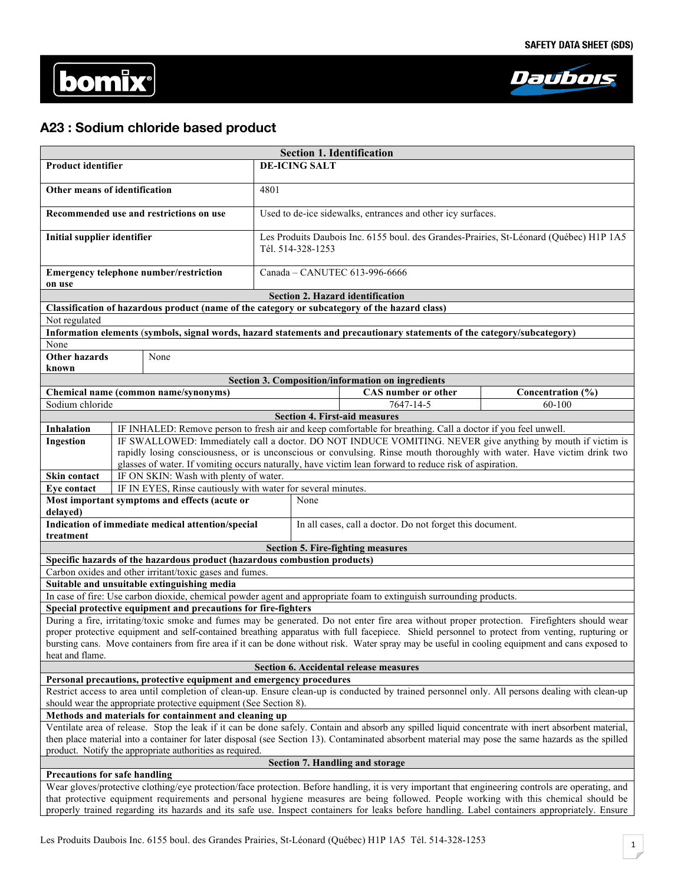



# **A23 : Sodium chloride based product**

| <b>Section 1. Identification</b>                                                                                                                                                                                                                                                      |                                                                                                                          |                               |                                                                                        |                                                   |                            |                                                                                                                                                     |  |
|---------------------------------------------------------------------------------------------------------------------------------------------------------------------------------------------------------------------------------------------------------------------------------------|--------------------------------------------------------------------------------------------------------------------------|-------------------------------|----------------------------------------------------------------------------------------|---------------------------------------------------|----------------------------|-----------------------------------------------------------------------------------------------------------------------------------------------------|--|
| <b>Product identifier</b>                                                                                                                                                                                                                                                             |                                                                                                                          |                               | <b>DE-ICING SALT</b>                                                                   |                                                   |                            |                                                                                                                                                     |  |
|                                                                                                                                                                                                                                                                                       |                                                                                                                          |                               |                                                                                        |                                                   |                            |                                                                                                                                                     |  |
| Other means of identification                                                                                                                                                                                                                                                         |                                                                                                                          | 4801                          |                                                                                        |                                                   |                            |                                                                                                                                                     |  |
| Recommended use and restrictions on use                                                                                                                                                                                                                                               |                                                                                                                          |                               | Used to de-ice sidewalks, entrances and other icy surfaces.                            |                                                   |                            |                                                                                                                                                     |  |
| Initial supplier identifier                                                                                                                                                                                                                                                           |                                                                                                                          |                               | Les Produits Daubois Inc. 6155 boul. des Grandes-Prairies, St-Léonard (Québec) H1P 1A5 |                                                   |                            |                                                                                                                                                     |  |
|                                                                                                                                                                                                                                                                                       |                                                                                                                          |                               | Tél. 514-328-1253                                                                      |                                                   |                            |                                                                                                                                                     |  |
| Emergency telephone number/restriction<br>on use                                                                                                                                                                                                                                      |                                                                                                                          | Canada - CANUTEC 613-996-6666 |                                                                                        |                                                   |                            |                                                                                                                                                     |  |
|                                                                                                                                                                                                                                                                                       |                                                                                                                          |                               |                                                                                        | <b>Section 2. Hazard identification</b>           |                            |                                                                                                                                                     |  |
|                                                                                                                                                                                                                                                                                       | Classification of hazardous product (name of the category or subcategory of the hazard class)                            |                               |                                                                                        |                                                   |                            |                                                                                                                                                     |  |
| Not regulated                                                                                                                                                                                                                                                                         |                                                                                                                          |                               |                                                                                        |                                                   |                            |                                                                                                                                                     |  |
|                                                                                                                                                                                                                                                                                       | Information elements (symbols, signal words, hazard statements and precautionary statements of the category/subcategory) |                               |                                                                                        |                                                   |                            |                                                                                                                                                     |  |
| None                                                                                                                                                                                                                                                                                  |                                                                                                                          |                               |                                                                                        |                                                   |                            |                                                                                                                                                     |  |
| <b>Other hazards</b>                                                                                                                                                                                                                                                                  | None                                                                                                                     |                               |                                                                                        |                                                   |                            |                                                                                                                                                     |  |
| known                                                                                                                                                                                                                                                                                 |                                                                                                                          |                               |                                                                                        |                                                   |                            |                                                                                                                                                     |  |
|                                                                                                                                                                                                                                                                                       |                                                                                                                          |                               |                                                                                        | Section 3. Composition/information on ingredients |                            |                                                                                                                                                     |  |
|                                                                                                                                                                                                                                                                                       | Chemical name (common name/synonyms)                                                                                     |                               |                                                                                        |                                                   | <b>CAS</b> number or other | Concentration (%)<br>60-100                                                                                                                         |  |
| Sodium chloride                                                                                                                                                                                                                                                                       |                                                                                                                          |                               |                                                                                        | <b>Section 4. First-aid measures</b>              | 7647-14-5                  |                                                                                                                                                     |  |
| <b>Inhalation</b>                                                                                                                                                                                                                                                                     | IF INHALED: Remove person to fresh air and keep comfortable for breathing. Call a doctor if you feel unwell.             |                               |                                                                                        |                                                   |                            |                                                                                                                                                     |  |
| Ingestion                                                                                                                                                                                                                                                                             |                                                                                                                          |                               |                                                                                        |                                                   |                            | IF SWALLOWED: Immediately call a doctor. DO NOT INDUCE VOMITING. NEVER give anything by mouth if victim is                                          |  |
|                                                                                                                                                                                                                                                                                       |                                                                                                                          |                               |                                                                                        |                                                   |                            | rapidly losing consciousness, or is unconscious or convulsing. Rinse mouth thoroughly with water. Have victim drink two                             |  |
|                                                                                                                                                                                                                                                                                       | glasses of water. If vomiting occurs naturally, have victim lean forward to reduce risk of aspiration.                   |                               |                                                                                        |                                                   |                            |                                                                                                                                                     |  |
| Skin contact                                                                                                                                                                                                                                                                          | IF ON SKIN: Wash with plenty of water.                                                                                   |                               |                                                                                        |                                                   |                            |                                                                                                                                                     |  |
| Eye contact                                                                                                                                                                                                                                                                           | IF IN EYES, Rinse cautiously with water for several minutes.                                                             |                               |                                                                                        |                                                   |                            |                                                                                                                                                     |  |
| delayed)                                                                                                                                                                                                                                                                              | Most important symptoms and effects (acute or                                                                            |                               | None                                                                                   |                                                   |                            |                                                                                                                                                     |  |
| treatment                                                                                                                                                                                                                                                                             | Indication of immediate medical attention/special                                                                        |                               | In all cases, call a doctor. Do not forget this document.                              |                                                   |                            |                                                                                                                                                     |  |
|                                                                                                                                                                                                                                                                                       |                                                                                                                          |                               |                                                                                        | <b>Section 5. Fire-fighting measures</b>          |                            |                                                                                                                                                     |  |
|                                                                                                                                                                                                                                                                                       | Specific hazards of the hazardous product (hazardous combustion products)                                                |                               |                                                                                        |                                                   |                            |                                                                                                                                                     |  |
|                                                                                                                                                                                                                                                                                       | Carbon oxides and other irritant/toxic gases and fumes.                                                                  |                               |                                                                                        |                                                   |                            |                                                                                                                                                     |  |
|                                                                                                                                                                                                                                                                                       | Suitable and unsuitable extinguishing media                                                                              |                               |                                                                                        |                                                   |                            |                                                                                                                                                     |  |
|                                                                                                                                                                                                                                                                                       | In case of fire: Use carbon dioxide, chemical powder agent and appropriate foam to extinguish surrounding products.      |                               |                                                                                        |                                                   |                            |                                                                                                                                                     |  |
| Special protective equipment and precautions for fire-fighters                                                                                                                                                                                                                        |                                                                                                                          |                               |                                                                                        |                                                   |                            |                                                                                                                                                     |  |
|                                                                                                                                                                                                                                                                                       |                                                                                                                          |                               |                                                                                        |                                                   |                            | During a fire, irritating/toxic smoke and fumes may be generated. Do not enter fire area without proper protection. Firefighters should wear        |  |
|                                                                                                                                                                                                                                                                                       |                                                                                                                          |                               |                                                                                        |                                                   |                            | proper protective equipment and self-contained breathing apparatus with full facepiece. Shield personnel to protect from venting, rupturing or      |  |
| heat and flame.                                                                                                                                                                                                                                                                       |                                                                                                                          |                               |                                                                                        |                                                   |                            | bursting cans. Move containers from fire area if it can be done without risk. Water spray may be useful in cooling equipment and cans exposed to    |  |
| Section 6. Accidental release measures                                                                                                                                                                                                                                                |                                                                                                                          |                               |                                                                                        |                                                   |                            |                                                                                                                                                     |  |
| Personal precautions, protective equipment and emergency procedures                                                                                                                                                                                                                   |                                                                                                                          |                               |                                                                                        |                                                   |                            |                                                                                                                                                     |  |
|                                                                                                                                                                                                                                                                                       |                                                                                                                          |                               |                                                                                        |                                                   |                            | Restrict access to area until completion of clean-up. Ensure clean-up is conducted by trained personnel only. All persons dealing with clean-up     |  |
|                                                                                                                                                                                                                                                                                       | should wear the appropriate protective equipment (See Section 8).                                                        |                               |                                                                                        |                                                   |                            |                                                                                                                                                     |  |
|                                                                                                                                                                                                                                                                                       | Methods and materials for containment and cleaning up                                                                    |                               |                                                                                        |                                                   |                            |                                                                                                                                                     |  |
|                                                                                                                                                                                                                                                                                       |                                                                                                                          |                               |                                                                                        |                                                   |                            | Ventilate area of release. Stop the leak if it can be done safely. Contain and absorb any spilled liquid concentrate with inert absorbent material, |  |
| then place material into a container for later disposal (see Section 13). Contaminated absorbent material may pose the same hazards as the spilled                                                                                                                                    |                                                                                                                          |                               |                                                                                        |                                                   |                            |                                                                                                                                                     |  |
| product. Notify the appropriate authorities as required.                                                                                                                                                                                                                              |                                                                                                                          |                               |                                                                                        |                                                   |                            |                                                                                                                                                     |  |
| Section 7. Handling and storage                                                                                                                                                                                                                                                       |                                                                                                                          |                               |                                                                                        |                                                   |                            |                                                                                                                                                     |  |
| Precautions for safe handling<br>Wear gloves/protective clothing/eye protection/face protection. Before handling, it is very important that engineering controls are operating, and                                                                                                   |                                                                                                                          |                               |                                                                                        |                                                   |                            |                                                                                                                                                     |  |
| that protective equipment requirements and personal hygiene measures are being followed. People working with this chemical should be<br>properly trained regarding its hazards and its safe use. Inspect containers for leaks before handling. Label containers appropriately. Ensure |                                                                                                                          |                               |                                                                                        |                                                   |                            |                                                                                                                                                     |  |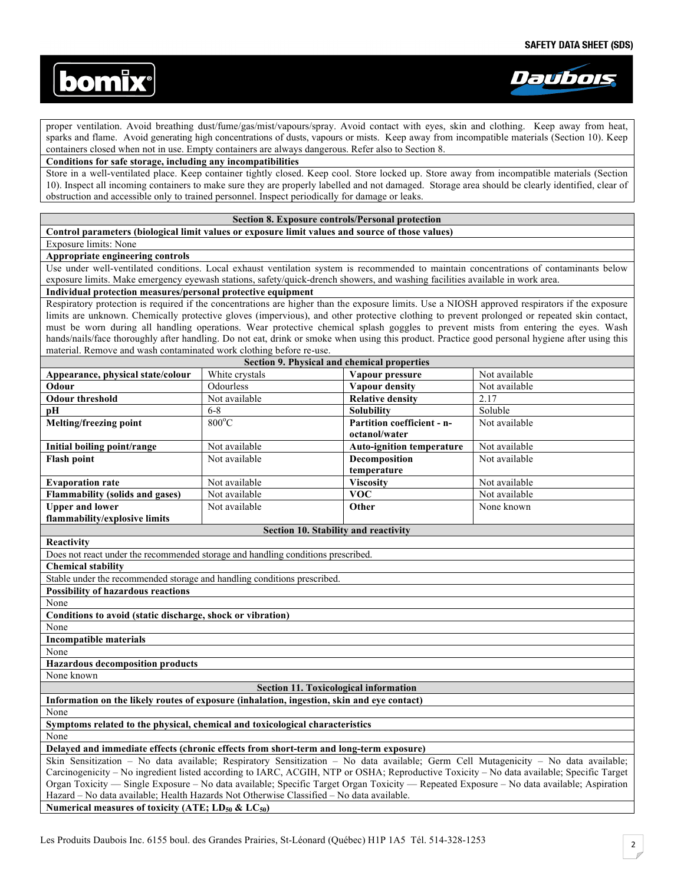



proper ventilation. Avoid breathing dust/fume/gas/mist/vapours/spray. Avoid contact with eyes, skin and clothing. Keep away from heat, sparks and flame. Avoid generating high concentrations of dusts, vapours or mists. Keep away from incompatible materials (Section 10). Keep containers closed when not in use. Empty containers are always dangerous. Refer also to Section 8.

### **Conditions for safe storage, including any incompatibilities**

Store in a well-ventilated place. Keep container tightly closed. Keep cool. Store locked up. Store away from incompatible materials (Section 10). Inspect all incoming containers to make sure they are properly labelled and not damaged. Storage area should be clearly identified, clear of obstruction and accessible only to trained personnel. Inspect periodically for damage or leaks.

#### **Section 8. Exposure controls/Personal protection**

**Control parameters (biological limit values or exposure limit values and source of those values)** 

Exposure limits: None

**Appropriate engineering controls**

Use under well-ventilated conditions. Local exhaust ventilation system is recommended to maintain concentrations of contaminants below exposure limits. Make emergency eyewash stations, safety/quick-drench showers, and washing facilities available in work area.

#### **Individual protection measures/personal protective equipment**

Respiratory protection is required if the concentrations are higher than the exposure limits. Use a NIOSH approved respirators if the exposure limits are unknown. Chemically protective gloves (impervious), and other protective clothing to prevent prolonged or repeated skin contact, must be worn during all handling operations. Wear protective chemical splash goggles to prevent mists from entering the eyes. Wash hands/nails/face thoroughly after handling. Do not eat, drink or smoke when using this product. Practice good personal hygiene after using this material. Remove and wash contaminated work clothing before re-use.

| Section 9. Physical and chemical properties                                                                                              |                                                                                          |                                  |               |  |  |
|------------------------------------------------------------------------------------------------------------------------------------------|------------------------------------------------------------------------------------------|----------------------------------|---------------|--|--|
| Appearance, physical state/colour                                                                                                        | White crystals                                                                           | Vapour pressure                  | Not available |  |  |
| Odour                                                                                                                                    | Odourless                                                                                | Vapour density                   | Not available |  |  |
| <b>Odour threshold</b>                                                                                                                   | Not available                                                                            | <b>Relative density</b>          | 2.17          |  |  |
| pH                                                                                                                                       | $6 - 8$                                                                                  | <b>Solubility</b>                | Soluble       |  |  |
| Melting/freezing point                                                                                                                   | $800^{\circ}$ C                                                                          | Partition coefficient - n-       | Not available |  |  |
|                                                                                                                                          |                                                                                          | octanol/water                    |               |  |  |
| Initial boiling point/range                                                                                                              | Not available                                                                            | <b>Auto-ignition temperature</b> | Not available |  |  |
| <b>Flash point</b>                                                                                                                       | Not available                                                                            | Decomposition                    | Not available |  |  |
|                                                                                                                                          |                                                                                          | temperature                      |               |  |  |
| <b>Evaporation rate</b>                                                                                                                  | Not available                                                                            | <b>Viscosity</b>                 | Not available |  |  |
| <b>Flammability (solids and gases)</b>                                                                                                   | Not available                                                                            | <b>VOC</b>                       | Not available |  |  |
| <b>Upper and lower</b>                                                                                                                   | Not available                                                                            | Other                            | None known    |  |  |
| flammability/explosive limits                                                                                                            |                                                                                          |                                  |               |  |  |
|                                                                                                                                          | Section 10. Stability and reactivity                                                     |                                  |               |  |  |
| Reactivity                                                                                                                               |                                                                                          |                                  |               |  |  |
| Does not react under the recommended storage and handling conditions prescribed.                                                         |                                                                                          |                                  |               |  |  |
| <b>Chemical stability</b>                                                                                                                |                                                                                          |                                  |               |  |  |
| Stable under the recommended storage and handling conditions prescribed.                                                                 |                                                                                          |                                  |               |  |  |
| <b>Possibility of hazardous reactions</b>                                                                                                |                                                                                          |                                  |               |  |  |
| None                                                                                                                                     |                                                                                          |                                  |               |  |  |
| Conditions to avoid (static discharge, shock or vibration)                                                                               |                                                                                          |                                  |               |  |  |
| None                                                                                                                                     |                                                                                          |                                  |               |  |  |
| <b>Incompatible materials</b>                                                                                                            |                                                                                          |                                  |               |  |  |
| None                                                                                                                                     |                                                                                          |                                  |               |  |  |
| <b>Hazardous decomposition products</b>                                                                                                  |                                                                                          |                                  |               |  |  |
| None known                                                                                                                               |                                                                                          |                                  |               |  |  |
|                                                                                                                                          | Section 11. Toxicological information                                                    |                                  |               |  |  |
| Information on the likely routes of exposure (inhalation, ingestion, skin and eye contact)                                               |                                                                                          |                                  |               |  |  |
| None                                                                                                                                     |                                                                                          |                                  |               |  |  |
| Symptoms related to the physical, chemical and toxicological characteristics                                                             |                                                                                          |                                  |               |  |  |
| None                                                                                                                                     |                                                                                          |                                  |               |  |  |
| Delayed and immediate effects (chronic effects from short-term and long-term exposure)                                                   |                                                                                          |                                  |               |  |  |
| Skin Sensitization - No data available; Respiratory Sensitization - No data available; Germ Cell Mutagenicity - No data available;       |                                                                                          |                                  |               |  |  |
| Carcinogenicity – No ingredient listed according to IARC, ACGIH, NTP or OSHA; Reproductive Toxicity – No data available; Specific Target |                                                                                          |                                  |               |  |  |
| Organ Toxicity — Single Exposure – No data available; Specific Target Organ Toxicity — Repeated Exposure – No data available; Aspiration |                                                                                          |                                  |               |  |  |
|                                                                                                                                          | Hazard – No data available; Health Hazards Not Otherwise Classified – No data available. |                                  |               |  |  |
| Numerical measures of toxicity (ATE; $LD_{50}$ & $LC_{50}$ )                                                                             |                                                                                          |                                  |               |  |  |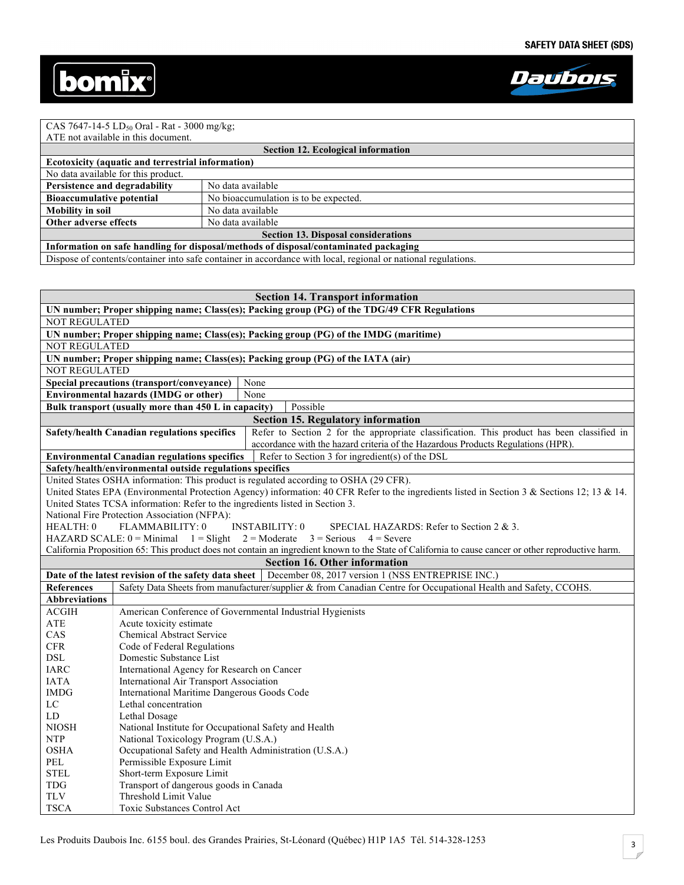



## CAS 7647-14-5 LD<sub>50</sub> Oral - Rat - 3000 mg/kg;

| ATE not available in this document.                                                                           |                                       |  |  |  |  |
|---------------------------------------------------------------------------------------------------------------|---------------------------------------|--|--|--|--|
| <b>Section 12. Ecological information</b>                                                                     |                                       |  |  |  |  |
| <b>Ecotoxicity (aquatic and terrestrial information)</b>                                                      |                                       |  |  |  |  |
| No data available for this product.                                                                           |                                       |  |  |  |  |
| Persistence and degradability                                                                                 | No data available                     |  |  |  |  |
| <b>Bioaccumulative potential</b>                                                                              | No bioaccumulation is to be expected. |  |  |  |  |
| <b>Mobility in soil</b>                                                                                       | No data available                     |  |  |  |  |
| Other adverse effects                                                                                         | No data available                     |  |  |  |  |
| <b>Section 13. Disposal considerations</b>                                                                    |                                       |  |  |  |  |
| Information on safe handling for disposal/methods of disposal/contaminated packaging                          |                                       |  |  |  |  |
| Dispose of contents/container into safe container in accordance with local, regional or national regulations. |                                       |  |  |  |  |

| <b>Section 14. Transport information</b>                                                     |                                                                                                                                                     |  |  |  |
|----------------------------------------------------------------------------------------------|-----------------------------------------------------------------------------------------------------------------------------------------------------|--|--|--|
| UN number; Proper shipping name; Class(es); Packing group (PG) of the TDG/49 CFR Regulations |                                                                                                                                                     |  |  |  |
| <b>NOT REGULATED</b>                                                                         |                                                                                                                                                     |  |  |  |
| UN number; Proper shipping name; Class(es); Packing group (PG) of the IMDG (maritime)        |                                                                                                                                                     |  |  |  |
| <b>NOT REGULATED</b>                                                                         |                                                                                                                                                     |  |  |  |
|                                                                                              | UN number; Proper shipping name; Class(es); Packing group (PG) of the IATA (air)                                                                    |  |  |  |
| <b>NOT REGULATED</b>                                                                         |                                                                                                                                                     |  |  |  |
|                                                                                              | Special precautions (transport/conveyance)<br>None                                                                                                  |  |  |  |
|                                                                                              | <b>Environmental hazards (IMDG or other)</b><br>None                                                                                                |  |  |  |
|                                                                                              | Bulk transport (usually more than 450 L in capacity)<br>Possible                                                                                    |  |  |  |
|                                                                                              | <b>Section 15. Regulatory information</b>                                                                                                           |  |  |  |
|                                                                                              | Refer to Section 2 for the appropriate classification. This product has been classified in<br>Safety/health Canadian regulations specifics          |  |  |  |
|                                                                                              | accordance with the hazard criteria of the Hazardous Products Regulations (HPR).                                                                    |  |  |  |
|                                                                                              | <b>Environmental Canadian regulations specifics</b><br>Refer to Section 3 for ingredient(s) of the DSL                                              |  |  |  |
|                                                                                              | Safety/health/environmental outside regulations specifics                                                                                           |  |  |  |
|                                                                                              | United States OSHA information: This product is regulated according to OSHA (29 CFR).                                                               |  |  |  |
|                                                                                              | United States EPA (Environmental Protection Agency) information: 40 CFR Refer to the ingredients listed in Section 3 & Sections 12; 13 & 14.        |  |  |  |
|                                                                                              | United States TCSA information: Refer to the ingredients listed in Section 3.                                                                       |  |  |  |
|                                                                                              | National Fire Protection Association (NFPA):                                                                                                        |  |  |  |
| HEALTH: 0                                                                                    | <b>INSTABILITY: 0</b><br>FLAMMABILITY: 0<br>SPECIAL HAZARDS: Refer to Section 2 $\&$ 3.                                                             |  |  |  |
|                                                                                              | HAZARD SCALE: $0 =$ Minimal $1 =$ Slight $2 =$ Moderate $3 =$ Serious $4 =$ Severe                                                                  |  |  |  |
|                                                                                              | California Proposition 65: This product does not contain an ingredient known to the State of California to cause cancer or other reproductive harm. |  |  |  |
|                                                                                              | <b>Section 16. Other information</b>                                                                                                                |  |  |  |
|                                                                                              | December 08, 2017 version 1 (NSS ENTREPRISE INC.)<br>Date of the latest revision of the safety data sheet                                           |  |  |  |
| <b>References</b>                                                                            | Safety Data Sheets from manufacturer/supplier & from Canadian Centre for Occupational Health and Safety, CCOHS.                                     |  |  |  |
| <b>Abbreviations</b>                                                                         |                                                                                                                                                     |  |  |  |
| $\rm ACGIH$                                                                                  | American Conference of Governmental Industrial Hygienists                                                                                           |  |  |  |
| <b>ATE</b>                                                                                   | Acute toxicity estimate                                                                                                                             |  |  |  |
| CAS                                                                                          | <b>Chemical Abstract Service</b>                                                                                                                    |  |  |  |
| <b>CFR</b>                                                                                   | Code of Federal Regulations                                                                                                                         |  |  |  |
| <b>DSL</b>                                                                                   | Domestic Substance List                                                                                                                             |  |  |  |
| <b>IARC</b>                                                                                  | International Agency for Research on Cancer                                                                                                         |  |  |  |
| <b>IATA</b>                                                                                  | International Air Transport Association                                                                                                             |  |  |  |
| <b>IMDG</b>                                                                                  | International Maritime Dangerous Goods Code                                                                                                         |  |  |  |
| LC                                                                                           | Lethal concentration                                                                                                                                |  |  |  |
| LD                                                                                           | Lethal Dosage                                                                                                                                       |  |  |  |
| <b>NIOSH</b>                                                                                 | National Institute for Occupational Safety and Health                                                                                               |  |  |  |
| <b>NTP</b>                                                                                   | National Toxicology Program (U.S.A.)                                                                                                                |  |  |  |
| <b>OSHA</b>                                                                                  | Occupational Safety and Health Administration (U.S.A.)                                                                                              |  |  |  |
| PEL                                                                                          | Permissible Exposure Limit                                                                                                                          |  |  |  |
| <b>STEL</b>                                                                                  | Short-term Exposure Limit                                                                                                                           |  |  |  |
| <b>TDG</b>                                                                                   | Transport of dangerous goods in Canada                                                                                                              |  |  |  |
| <b>TLV</b>                                                                                   | Threshold Limit Value                                                                                                                               |  |  |  |
| <b>TSCA</b>                                                                                  | Toxic Substances Control Act                                                                                                                        |  |  |  |